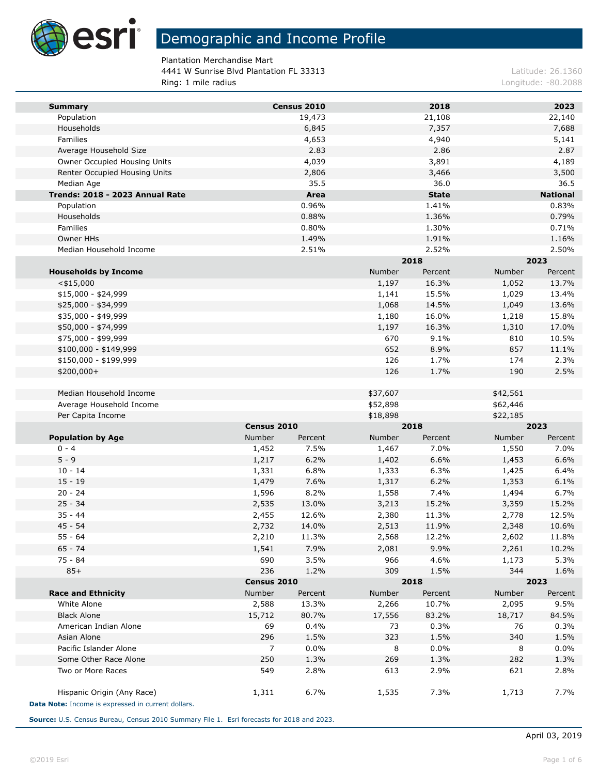

Plantation Merchandise Mart 4441 W Sunrise Blvd Plantation FL 33313 Latitude: 26.1360 Ring: 1 mile radius **Ring: 1 mile radius** Longitude: -80.2088

| <b>Summary</b>                                     |                 | Census 2010      |                                  | 2018          |                 | 2023            |
|----------------------------------------------------|-----------------|------------------|----------------------------------|---------------|-----------------|-----------------|
| Population                                         |                 | 19,473           |                                  | 21,108        |                 | 22,140          |
| Households                                         |                 | 6,845            |                                  | 7,357         |                 | 7,688           |
| Families                                           |                 | 4,653            |                                  | 4,940         |                 | 5,141           |
| Average Household Size                             |                 | 2.83             |                                  | 2.86          |                 | 2.87            |
| Owner Occupied Housing Units                       |                 | 4,039            |                                  | 3,891         |                 | 4,189           |
| Renter Occupied Housing Units                      |                 | 2,806            |                                  | 3,466         |                 | 3,500           |
| Median Age                                         |                 | 35.5             |                                  | 36.0          |                 | 36.5            |
| Trends: 2018 - 2023 Annual Rate                    |                 | Area             |                                  | <b>State</b>  |                 | <b>National</b> |
| Population                                         |                 | 0.96%            |                                  | 1.41%         |                 | 0.83%           |
| Households                                         |                 | 0.88%            |                                  | 1.36%         |                 | 0.79%           |
| Families                                           |                 | 0.80%            |                                  | 1.30%         |                 | 0.71%           |
| Owner HHs                                          |                 | 1.49%            |                                  | 1.91%         |                 | 1.16%           |
| Median Household Income                            |                 | 2.51%            |                                  | 2.52%<br>2018 |                 | 2.50%<br>2023   |
|                                                    |                 |                  | Number                           | Percent       | Number          | Percent         |
| <b>Households by Income</b><br>$<$ \$15,000        |                 |                  | 1,197                            | 16.3%         | 1,052           | 13.7%           |
| $$15,000 - $24,999$                                |                 |                  | 1,141                            | 15.5%         | 1,029           | 13.4%           |
| \$25,000 - \$34,999                                |                 |                  | 1,068                            | 14.5%         | 1,049           | 13.6%           |
| \$35,000 - \$49,999                                |                 |                  | 1,180                            | 16.0%         | 1,218           | 15.8%           |
| \$50,000 - \$74,999                                |                 |                  | 1,197                            | 16.3%         | 1,310           | 17.0%           |
| \$75,000 - \$99,999                                |                 |                  | 670                              | 9.1%          | 810             | 10.5%           |
| $$100,000 - $149,999$                              |                 |                  | 652                              | 8.9%          | 857             | 11.1%           |
| \$150,000 - \$199,999                              |                 |                  | 126                              | 1.7%          | 174             | 2.3%            |
| \$200,000+                                         |                 |                  | 126                              | 1.7%          | 190             | 2.5%            |
|                                                    |                 |                  |                                  |               |                 |                 |
| Median Household Income                            |                 |                  | \$37,607                         |               | \$42,561        |                 |
| Average Household Income                           |                 |                  | \$52,898                         |               | \$62,446        |                 |
| Per Capita Income                                  |                 |                  | \$18,898                         |               | \$22,185        |                 |
|                                                    | Census 2010     |                  | 2018                             |               | 2023            |                 |
| <b>Population by Age</b>                           | Number          | Percent          | Number                           | Percent       | Number          | Percent         |
| $0 - 4$                                            | 1,452           | 7.5%             | 1,467                            | 7.0%          | 1,550           | 7.0%            |
| $5 - 9$                                            | 1,217           | 6.2%             | 1,402                            | 6.6%          | 1,453           | 6.6%            |
| $10 - 14$                                          | 1,331           | 6.8%             | 1,333                            | 6.3%          | 1,425           | 6.4%            |
| $15 - 19$                                          | 1,479           | 7.6%             | 1,317                            | 6.2%          | 1,353           | 6.1%            |
| $20 - 24$                                          | 1,596           | 8.2%             | 1,558                            | 7.4%          | 1,494           | 6.7%            |
| $25 - 34$                                          | 2,535           | 13.0%            | 3,213                            | 15.2%         | 3,359           | 15.2%           |
| $35 - 44$                                          | 2,455           | 12.6%            | 2,380                            | 11.3%         | 2,778           | 12.5%           |
| $45 - 54$                                          | 2,732           | 14.0%            | 2,513                            | 11.9%         | 2,348           | 10.6%           |
| $55 - 64$                                          | 2,210           | 11.3%            | 2,568                            | 12.2%         | 2,602           | 11.8%           |
| $65 - 74$                                          | 1,541           | 7.9%             | 2,081                            | 9.9%          | 2,261           | 10.2%           |
| 75 - 84                                            | 690             | 3.5%             | 966                              | 4.6%          | 1,173           | 5.3%            |
| $85+$                                              | 236             | 1.2%             | 309                              | 1.5%          | 344             | 1.6%            |
| <b>Race and Ethnicity</b>                          | Census 2010     |                  | 2018<br><b>Number</b><br>Percent |               | 2023            |                 |
| White Alone                                        | Number<br>2,588 | Percent<br>13.3% | 2,266                            | 10.7%         | Number<br>2,095 | Percent<br>9.5% |
| <b>Black Alone</b>                                 | 15,712          | 80.7%            | 17,556                           | 83.2%         | 18,717          | 84.5%           |
| American Indian Alone                              | 69              | 0.4%             | 73                               | 0.3%          | 76              | 0.3%            |
| Asian Alone                                        | 296             | 1.5%             | 323                              | 1.5%          | 340             | 1.5%            |
| Pacific Islander Alone                             | 7               | 0.0%             | 8                                | 0.0%          | 8               | 0.0%            |
| Some Other Race Alone                              | 250             | 1.3%             | 269                              | 1.3%          | 282             | 1.3%            |
| Two or More Races                                  | 549             | 2.8%             | 613                              | 2.9%          | 621             | 2.8%            |
|                                                    |                 |                  |                                  |               |                 |                 |
| Hispanic Origin (Any Race)                         | 1,311           | 6.7%             | 1,535                            | 7.3%          | 1,713           | 7.7%            |
| Data Note: Income is expressed in current dollars. |                 |                  |                                  |               |                 |                 |

**Source:** U.S. Census Bureau, Census 2010 Summary File 1. Esri forecasts for 2018 and 2023.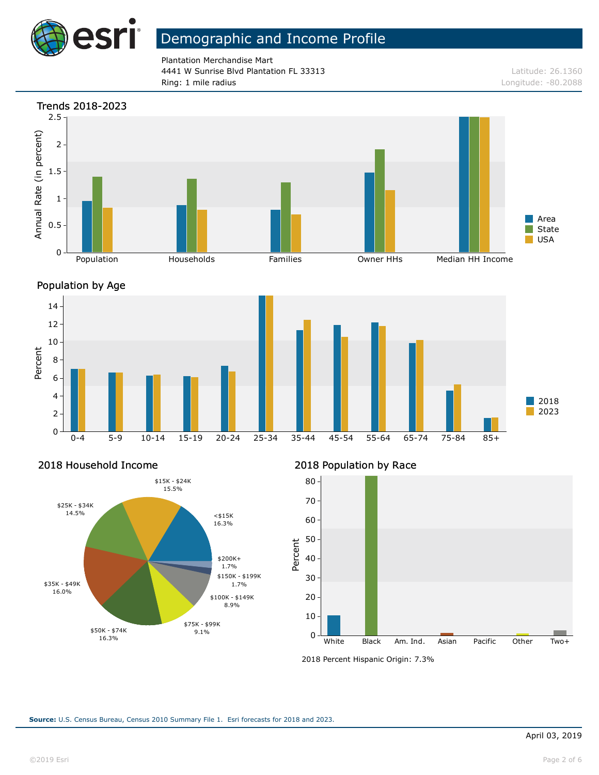

Plantation Merchandise Mart 4441 W Sunrise Blvd Plantation FL 33313 Latitude: 26.1360 Ring: 1 mile radius and the results of the contract of the contract of the contract of the contract of the contract of the contract of the contract of the contract of the contract of the contract of the contract of the con

## Trends 2018-2023 2.5 Annual Rate (in percent) Annual Rate (in percent) 2 1.5 1 Area 0.5 State USA 0 Population **Households** Families Owner HHs Median HH Income





## 2018 Household Income



## 2018 Population by Race



<sup>2018</sup> Percent Hispanic Origin: 7.3%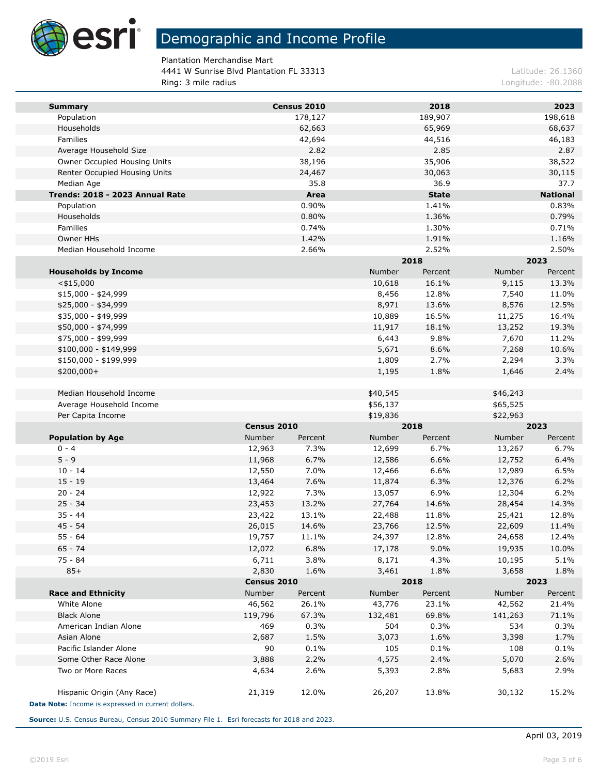

Plantation Merchandise Mart 4441 W Sunrise Blvd Plantation FL 33313 Latitude: 26.1360 Ring: 3 mile radius **Ring: 3 mile radius** Longitude: -80.2088

| <b>Summary</b>                                                                   |             | Census 2010 |               | 2018         |          | 2023            |
|----------------------------------------------------------------------------------|-------------|-------------|---------------|--------------|----------|-----------------|
| Population                                                                       |             | 178,127     |               | 189,907      |          | 198,618         |
| Households                                                                       |             | 62,663      |               | 65,969       |          | 68,637          |
| Families                                                                         |             | 42,694      |               | 44,516       |          | 46,183          |
| Average Household Size                                                           |             | 2.82        |               | 2.85         |          | 2.87            |
| Owner Occupied Housing Units                                                     |             | 38,196      |               | 35,906       |          | 38,522          |
| Renter Occupied Housing Units                                                    |             | 24,467      |               | 30,063       |          | 30,115          |
| Median Age                                                                       |             | 35.8        |               | 36.9         |          | 37.7            |
| Trends: 2018 - 2023 Annual Rate                                                  |             | Area        |               | <b>State</b> |          | <b>National</b> |
| Population                                                                       |             | 0.90%       |               | 1.41%        |          | 0.83%           |
| Households                                                                       |             | 0.80%       |               | 1.36%        |          | 0.79%           |
| Families                                                                         |             | 0.74%       |               | 1.30%        |          | 0.71%           |
| Owner HHs                                                                        |             | 1.42%       |               | 1.91%        |          | 1.16%           |
| Median Household Income                                                          |             | 2.66%       |               | 2.52%        |          | 2.50%           |
|                                                                                  |             |             |               | 2018         |          | 2023            |
| <b>Households by Income</b>                                                      |             |             | <b>Number</b> | Percent      | Number   | Percent         |
| $<$ \$15,000                                                                     |             |             | 10,618        | 16.1%        | 9,115    | 13.3%           |
| $$15,000 - $24,999$                                                              |             |             | 8,456         | 12.8%        | 7,540    | 11.0%           |
| \$25,000 - \$34,999                                                              |             |             | 8,971         | 13.6%        | 8,576    | 12.5%           |
| \$35,000 - \$49,999                                                              |             |             | 10,889        | 16.5%        | 11,275   | 16.4%           |
| \$50,000 - \$74,999                                                              |             |             | 11,917        | 18.1%        | 13,252   | 19.3%           |
| \$75,000 - \$99,999                                                              |             |             | 6,443         | 9.8%         | 7,670    | 11.2%           |
| \$100,000 - \$149,999                                                            |             |             | 5,671         | 8.6%         | 7,268    | 10.6%           |
| \$150,000 - \$199,999                                                            |             |             | 1,809         | 2.7%         | 2,294    | 3.3%            |
| \$200,000+                                                                       |             |             | 1,195         | 1.8%         | 1,646    | 2.4%            |
|                                                                                  |             |             |               |              |          |                 |
| Median Household Income                                                          |             |             | \$40,545      |              | \$46,243 |                 |
| Average Household Income                                                         |             |             | \$56,137      |              | \$65,525 |                 |
| Per Capita Income                                                                |             |             | \$19,836      |              | \$22,963 |                 |
|                                                                                  | Census 2010 |             | 2018          |              | 2023     |                 |
| <b>Population by Age</b>                                                         | Number      | Percent     | Number        | Percent      | Number   | Percent         |
| $0 - 4$                                                                          | 12,963      | 7.3%        | 12,699        | 6.7%         | 13,267   | 6.7%            |
| $5 - 9$                                                                          | 11,968      | 6.7%        | 12,586        | 6.6%         | 12,752   | 6.4%            |
| $10 - 14$                                                                        | 12,550      | 7.0%        | 12,466        | 6.6%         | 12,989   | 6.5%            |
| $15 - 19$                                                                        | 13,464      | 7.6%        | 11,874        | 6.3%         | 12,376   | 6.2%            |
| $20 - 24$                                                                        | 12,922      | 7.3%        | 13,057        | 6.9%         | 12,304   | 6.2%            |
| $25 - 34$                                                                        | 23,453      | 13.2%       | 27,764        | 14.6%        | 28,454   | 14.3%           |
| $35 - 44$                                                                        | 23,422      | 13.1%       | 22,488        | 11.8%        | 25,421   | 12.8%           |
| $45 - 54$                                                                        | 26,015      | 14.6%       | 23,766        | 12.5%        | 22,609   | 11.4%           |
| $55 - 64$                                                                        | 19,757      | 11.1%       | 24,397        | 12.8%        | 24,658   | 12.4%           |
| $65 - 74$                                                                        | 12,072      | 6.8%        | 17,178        | 9.0%         | 19,935   | 10.0%           |
| $75 - 84$                                                                        | 6,711       | 3.8%        | 8,171         | 4.3%         | 10,195   | 5.1%            |
| $85+$                                                                            | 2,830       | 1.6%        | 3,461         | 1.8%         | 3,658    | 1.8%            |
|                                                                                  | Census 2010 |             |               | 2018         |          | 2023            |
| <b>Race and Ethnicity</b>                                                        | Number      | Percent     | Number        | Percent      | Number   | Percent         |
| White Alone                                                                      | 46,562      | 26.1%       | 43,776        | 23.1%        | 42,562   | 21.4%           |
| <b>Black Alone</b>                                                               | 119,796     | 67.3%       | 132,481       | 69.8%        | 141,263  | 71.1%           |
| American Indian Alone                                                            | 469         | 0.3%        | 504           | 0.3%         | 534      | 0.3%            |
| Asian Alone                                                                      | 2,687       | 1.5%        | 3,073         | 1.6%         | 3,398    | 1.7%            |
| Pacific Islander Alone                                                           | 90          | 0.1%        | 105           | 0.1%         | 108      | 0.1%            |
| Some Other Race Alone                                                            | 3,888       | 2.2%        | 4,575         | 2.4%         | 5,070    | 2.6%            |
| Two or More Races                                                                | 4,634       | 2.6%        | 5,393         | 2.8%         | 5,683    | 2.9%            |
| Hispanic Origin (Any Race)<br>Data Note: Income is expressed in current dollars. | 21,319      | 12.0%       | 26,207        | 13.8%        | 30,132   | 15.2%           |
|                                                                                  |             |             |               |              |          |                 |

**Source:** U.S. Census Bureau, Census 2010 Summary File 1. Esri forecasts for 2018 and 2023.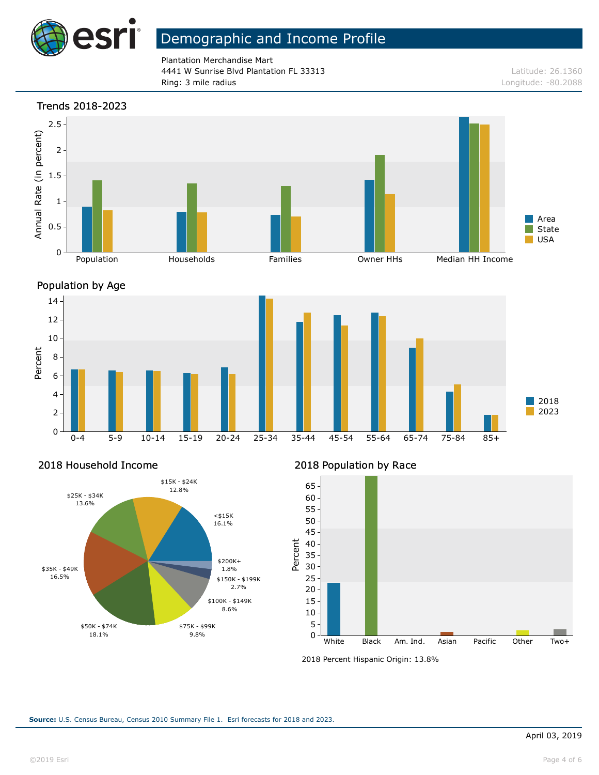

Plantation Merchandise Mart 4441 W Sunrise Blvd Plantation FL 33313 Latitude: 26.1360 Ring: 3 mile radius Longitude: -80.2088

#### Trends 2018-2023







### 2018 Household Income



### 2018 Population by Race



<sup>2018</sup> Percent Hispanic Origin: 13.8%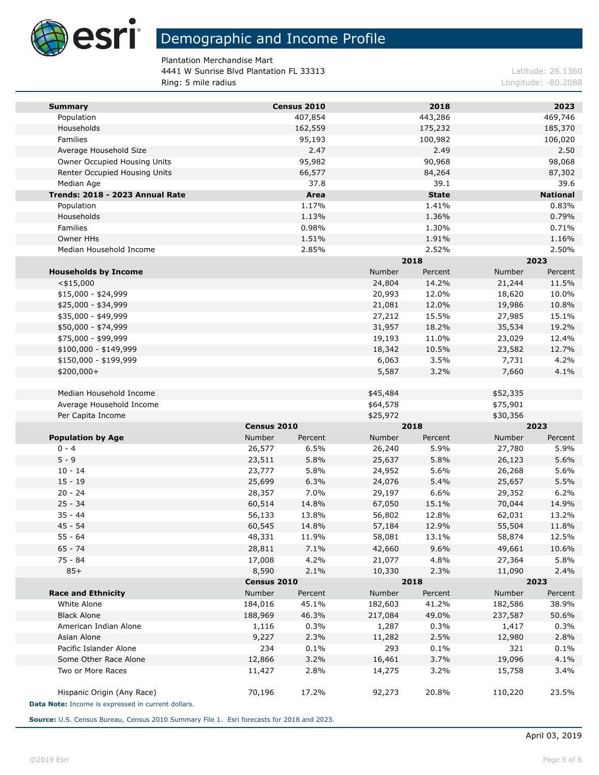

Plantation Merchandise Mart 4441 W Sunrise Blvd Plantation FL 33313 Latitude: 26.1360 Ring: 5 mile radius **Alternative Community Community** Longitude: -80.2088

| <b>Summary</b>                                     |                  | Census 2010  |                  | 2018           |                  | 2023            |
|----------------------------------------------------|------------------|--------------|------------------|----------------|------------------|-----------------|
| Population                                         |                  | 407,854      |                  | 443,286        |                  | 469,746         |
| Households                                         |                  | 162,559      |                  | 175,232        |                  | 185,370         |
| Families                                           |                  | 95,193       |                  | 100,982        |                  | 106,020         |
| Average Household Size                             |                  | 2.47         |                  | 2.49           |                  | 2.50            |
| Owner Occupied Housing Units                       |                  | 95,982       |                  | 90,968         |                  | 98,068          |
| Renter Occupied Housing Units                      |                  | 66,577       |                  | 84,264         |                  | 87,302          |
| Median Age                                         |                  | 37.8         |                  | 39.1           |                  | 39.6            |
| Trends: 2018 - 2023 Annual Rate                    |                  | Area         |                  | <b>State</b>   |                  | <b>National</b> |
| Population                                         |                  | 1.17%        |                  | 1.41%          |                  | 0.83%           |
| Households                                         |                  | 1.13%        |                  | 1.36%          |                  | 0.79%           |
| Families                                           |                  | 0.98%        |                  | 1.30%          |                  | 0.71%           |
| Owner HHs                                          |                  | 1.51%        |                  | 1.91%          |                  | 1.16%           |
| Median Household Income                            |                  | 2.85%        |                  | 2.52%          |                  | 2.50%           |
|                                                    |                  |              |                  | 2018           |                  | 2023            |
| <b>Households by Income</b>                        |                  |              | Number           | Percent        | Number           | Percent         |
| $<$ \$15,000                                       |                  |              | 24,804           | 14.2%          | 21,244           | 11.5%           |
| $$15,000 - $24,999$                                |                  |              | 20,993           | 12.0%          | 18,620           | 10.0%           |
| \$25,000 - \$34,999<br>\$35,000 - \$49,999         |                  |              | 21,081<br>27,212 | 12.0%<br>15.5% | 19,986<br>27,985 | 10.8%<br>15.1%  |
| \$50,000 - \$74,999                                |                  |              | 31,957           | 18.2%          | 35,534           | 19.2%           |
| \$75,000 - \$99,999                                |                  |              | 19,193           | 11.0%          | 23,029           | 12.4%           |
| $$100,000 - $149,999$                              |                  |              | 18,342           | 10.5%          | 23,582           | 12.7%           |
| \$150,000 - \$199,999                              |                  |              | 6,063            | 3.5%           | 7,731            | 4.2%            |
| \$200,000+                                         |                  |              | 5,587            | 3.2%           | 7,660            | 4.1%            |
|                                                    |                  |              |                  |                |                  |                 |
| Median Household Income                            |                  |              | \$45,484         |                | \$52,335         |                 |
| Average Household Income                           |                  |              | \$64,578         |                | \$75,901         |                 |
| Per Capita Income                                  |                  |              | \$25,972         |                | \$30,356         |                 |
|                                                    | Census 2010      |              |                  | 2018           |                  | 2023            |
| <b>Population by Age</b>                           | Number           | Percent      | Number           | Percent        | Number           | Percent         |
| $0 - 4$                                            | 26,577           | 6.5%         | 26,240           | 5.9%           | 27,780           | 5.9%            |
| $5 - 9$                                            | 23,511           | 5.8%         | 25,637           | 5.8%           | 26,123           | 5.6%            |
| $10 - 14$                                          | 23,777           | 5.8%         | 24,952           | 5.6%           | 26,268           | 5.6%            |
| $15 - 19$                                          | 25,699           | 6.3%         | 24,076           | 5.4%           | 25,657           | 5.5%            |
| $20 - 24$                                          | 28,357           | 7.0%         | 29,197           | 6.6%           | 29,352           | 6.2%            |
| $25 - 34$                                          | 60,514           | 14.8%        | 67,050           | 15.1%          | 70,044           | 14.9%           |
| $35 - 44$                                          | 56,133           | 13.8%        | 56,802           | 12.8%          | 62,031           | 13.2%           |
| $45 - 54$                                          | 60,545           | 14.8%        | 57,184           | 12.9%          | 55,504           | 11.8%           |
| $55 - 64$                                          | 48,331           | 11.9%        | 58,081           | 13.1%          | 58,874           | 12.5%           |
| $65 - 74$                                          | 28,811           | 7.1%         | 42,660           | 9.6%           | 49,661           | 10.6%           |
| 75 - 84                                            | 17,008           | 4.2%         | 21,077           | 4.8%           | 27,364           | 5.8%            |
| $85+$                                              | 8,590            | 2.1%         | 10,330           | 2.3%           | 11,090           | 2.4%            |
|                                                    | Census 2010      |              | 2018             |                | 2023             |                 |
| <b>Race and Ethnicity</b>                          | <b>Number</b>    | Percent      | Number           | Percent        | Number           | Percent         |
| White Alone                                        | 184,016          | 45.1%        | 182,603          | 41.2%          | 182,586          | 38.9%           |
| <b>Black Alone</b>                                 | 188,969          | 46.3%        | 217,084          | 49.0%          | 237,587          | 50.6%           |
| American Indian Alone                              | 1,116            | 0.3%         | 1,287            | 0.3%           | 1,417            | 0.3%            |
| Asian Alone<br>Pacific Islander Alone              | 9,227<br>234     | 2.3%<br>0.1% | 11,282           | 2.5%           | 12,980           | 2.8%            |
|                                                    |                  |              | 293              | 0.1%           | 321              | 0.1%            |
| Some Other Race Alone<br>Two or More Races         | 12,866<br>11,427 | 3.2%<br>2.8% | 16,461<br>14,275 | 3.7%<br>3.2%   | 19,096<br>15,758 | 4.1%<br>3.4%    |
|                                                    |                  |              |                  |                |                  |                 |
| Hispanic Origin (Any Race)                         | 70,196           | 17.2%        | 92,273           | 20.8%          | 110,220          | 23.5%           |
| Data Note: Income is expressed in current dollars. |                  |              |                  |                |                  |                 |

**Source:** U.S. Census Bureau, Census 2010 Summary File 1. Esri forecasts for 2018 and 2023.